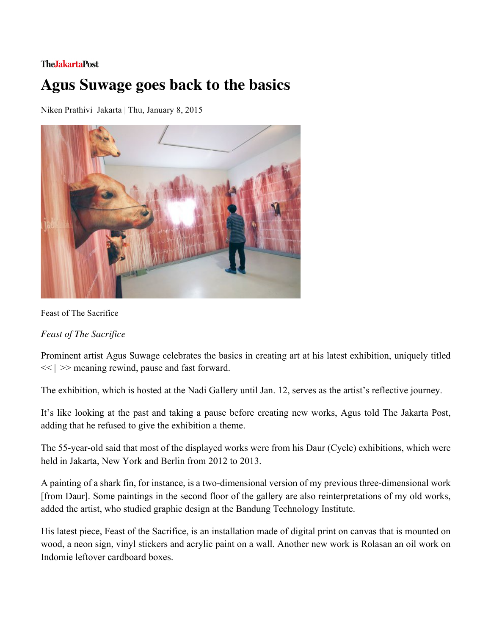## **TheJakartaPost**

## **Agus Suwage goes back to the basics**

Niken Prathivi Jakarta | Thu, January 8, 2015



Feast of The Sacrifice

*Feast of The Sacrifice* 

Prominent artist Agus Suwage celebrates the basics in creating art at his latest exhibition, uniquely titled  $<<$   $||>>$  meaning rewind, pause and fast forward.

The exhibition, which is hosted at the Nadi Gallery until Jan. 12, serves as the artist's reflective journey.

It's like looking at the past and taking a pause before creating new works, Agus told The Jakarta Post, adding that he refused to give the exhibition a theme.

The 55-year-old said that most of the displayed works were from his Daur (Cycle) exhibitions, which were held in Jakarta, New York and Berlin from 2012 to 2013.

A painting of a shark fin, for instance, is a two-dimensional version of my previous three-dimensional work [from Daur]. Some paintings in the second floor of the gallery are also reinterpretations of my old works, added the artist, who studied graphic design at the Bandung Technology Institute.

His latest piece, Feast of the Sacrifice, is an installation made of digital print on canvas that is mounted on wood, a neon sign, vinyl stickers and acrylic paint on a wall. Another new work is Rolasan an oil work on Indomie leftover cardboard boxes.